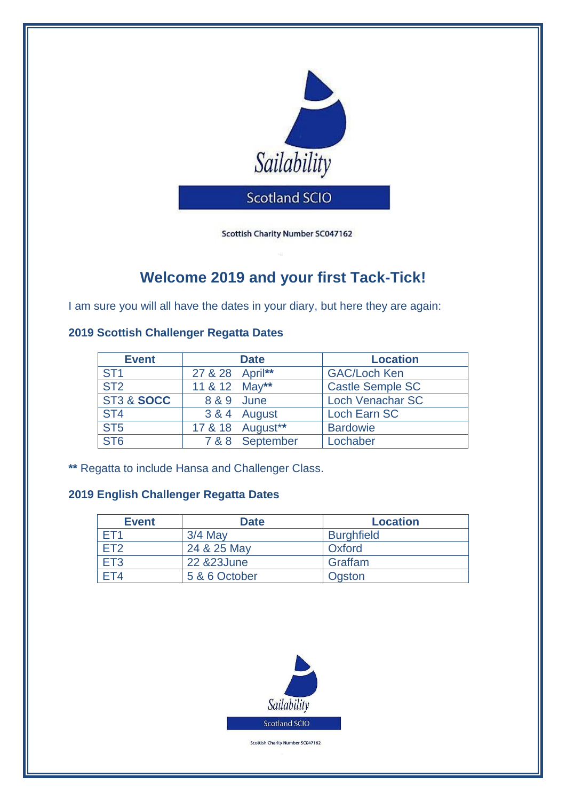

Scottish Charity Number SC047162

# **Welcome 2019 and your first Tack-Tick!**

I am sure you will all have the dates in your diary, but here they are again:

## **2019 Scottish Challenger Regatta Dates**

| <b>Event</b>    | <b>Date</b>     |                  | <b>Location</b>         |
|-----------------|-----------------|------------------|-------------------------|
| ST <sub>1</sub> | 27 & 28 April** |                  | <b>GAC/Loch Ken</b>     |
| ST <sub>2</sub> | 11 & 12 May**   |                  | <b>Castle Semple SC</b> |
| ST3 & SOCC      | 8 & 9 June      |                  | <b>Loch Venachar SC</b> |
| ST <sub>4</sub> |                 | 3 & 4 August     | Loch Earn SC            |
| ST5             |                 | 17 & 18 August** | <b>Bardowie</b>         |
| ST <sub>6</sub> |                 | 7 & 8 September  | Lochaber                |

**\*\*** Regatta to include Hansa and Challenger Class.

## **2019 English Challenger Regatta Dates**

| <b>Event</b>    | <b>Date</b>   | <b>Location</b>   |
|-----------------|---------------|-------------------|
| FT1             | $3/4$ May     | <b>Burghfield</b> |
| FT <sub>2</sub> | 24 & 25 May   | Oxford            |
| ET <sub>3</sub> | 22 & 23 June  | Graffam           |
| FT4             | 5 & 6 October | Ogston            |



Scottish Charity Number SC047162